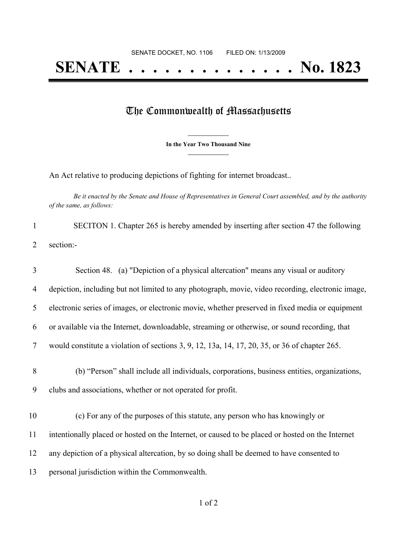## The Commonwealth of Massachusetts

**\_\_\_\_\_\_\_\_\_\_\_\_\_\_\_ In the Year Two Thousand Nine \_\_\_\_\_\_\_\_\_\_\_\_\_\_\_**

An Act relative to producing depictions of fighting for internet broadcast..

Be it enacted by the Senate and House of Representatives in General Court assembled, and by the authority *of the same, as follows:*

| SECITON 1. Chapter 265 is hereby amended by inserting after section 47 the following |
|--------------------------------------------------------------------------------------|
| 2 section:-                                                                          |

| 3      | Section 48. (a) "Depiction of a physical altercation" means any visual or auditory                                                                         |
|--------|------------------------------------------------------------------------------------------------------------------------------------------------------------|
| 4      | depiction, including but not limited to any photograph, movie, video recording, electronic image,                                                          |
| 5      | electronic series of images, or electronic movie, whether preserved in fixed media or equipment                                                            |
| 6      | or available via the Internet, downloadable, streaming or otherwise, or sound recording, that                                                              |
| 7      | would constitute a violation of sections $3, 9, 12, 13a, 14, 17, 20, 35$ , or $36$ of chapter $265$ .                                                      |
| 8<br>9 | (b) "Person" shall include all individuals, corporations, business entities, organizations,<br>clubs and associations, whether or not operated for profit. |
| 10     | (c) For any of the purposes of this statute, any person who has knowingly or                                                                               |
| 11     | intentionally placed or hosted on the Internet, or caused to be placed or hosted on the Internet                                                           |
| 12     | any depiction of a physical altercation, by so doing shall be deemed to have consented to                                                                  |
| 13     | personal jurisdiction within the Commonwealth.                                                                                                             |
|        |                                                                                                                                                            |